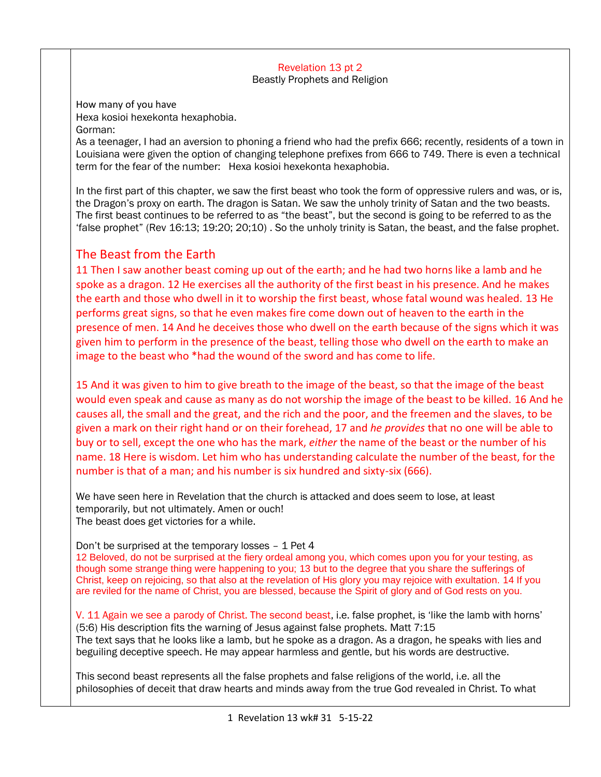## Revelation 13 pt 2 Beastly Prophets and Religion

How many of you have Hexa kosioi hexekonta hexaphobia. Gorman:

As a teenager, I had an aversion to phoning a friend who had the prefix 666; recently, residents of a town in Louisiana were given the option of changing telephone prefixes from 666 to 749. There is even a technical term for the fear of the number: Hexa kosioi hexekonta hexaphobia.

In the first part of this chapter, we saw the first beast who took the form of oppressive rulers and was, or is, the Dragon's proxy on earth. The dragon is Satan. We saw the unholy trinity of Satan and the two beasts. The first beast continues to be referred to as "the beast", but the second is going to be referred to as the 'false prophet" (Rev 16:13; 19:20; 20;10) . So the unholy trinity is Satan, the beast, and the false prophet.

# The Beast from the Earth

11 Then I saw another beast coming up out of the earth; and he had two horns like a lamb and he spoke as a dragon. 12 He exercises all the authority of the first beast in his presence. And he makes the earth and those who dwell in it to worship the first beast, whose fatal wound was healed. 13 He performs great signs, so that he even makes fire come down out of heaven to the earth in the presence of men. 14 And he deceives those who dwell on the earth because of the signs which it was given him to perform in the presence of the beast, telling those who dwell on the earth to make an image to the beast who \*had the wound of the sword and has come to life.

15 And it was given to him to give breath to the image of the beast, so that the image of the beast would even speak and cause as many as do not worship the image of the beast to be killed. 16 And he causes all, the small and the great, and the rich and the poor, and the freemen and the slaves, to be given a mark on their right hand or on their forehead, 17 and *he provides* that no one will be able to buy or to sell, except the one who has the mark, *either* the name of the beast or the number of his name. 18 Here is wisdom. Let him who has understanding calculate the number of the beast, for the number is that of a man; and his number is six hundred and sixty-six (666).

We have seen here in Revelation that the church is attacked and does seem to lose, at least temporarily, but not ultimately. Amen or ouch! The beast does get victories for a while.

Don't be surprised at the temporary losses – 1 Pet 4

12 Beloved, do not be surprised at the fiery ordeal among you, which comes upon you for your testing, as though some strange thing were happening to you; 13 but to the degree that you share the sufferings of Christ, keep on rejoicing, so that also at the revelation of His glory you may rejoice with exultation. 14 If you are reviled for the name of Christ, you are blessed, because the Spirit of glory and of God rests on you.

V. 11 Again we see a parody of Christ. The second beast, i.e. false prophet, is 'like the lamb with horns' (5:6) His description fits the warning of Jesus against false prophets. Matt 7:15 The text says that he looks like a lamb, but he spoke as a dragon. As a dragon, he speaks with lies and beguiling deceptive speech. He may appear harmless and gentle, but his words are destructive.

This second beast represents all the false prophets and false religions of the world, i.e. all the philosophies of deceit that draw hearts and minds away from the true God revealed in Christ. To what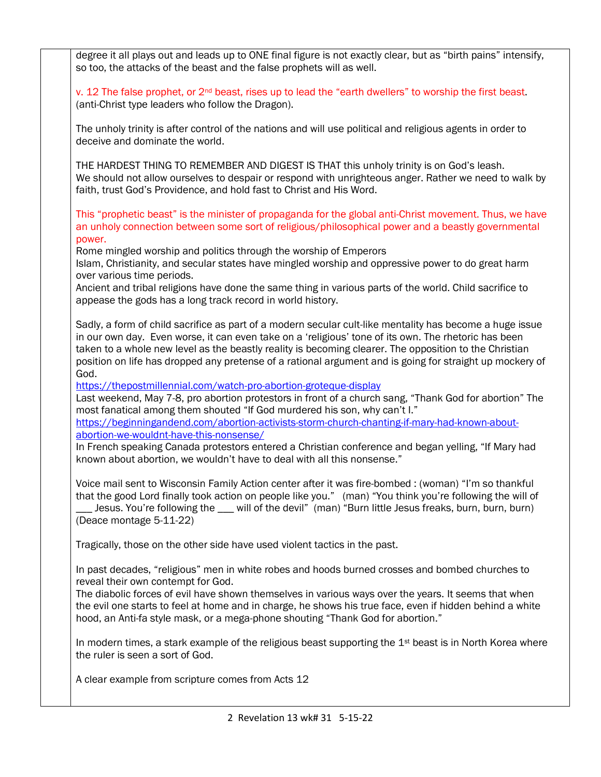degree it all plays out and leads up to ONE final figure is not exactly clear, but as "birth pains" intensify, so too, the attacks of the beast and the false prophets will as well.

v. 12 The false prophet, or 2<sup>nd</sup> beast, rises up to lead the "earth dwellers" to worship the first beast. (anti-Christ type leaders who follow the Dragon).

The unholy trinity is after control of the nations and will use political and religious agents in order to deceive and dominate the world.

THE HARDEST THING TO REMEMBER AND DIGEST IS THAT this unholy trinity is on God's leash. We should not allow ourselves to despair or respond with unrighteous anger. Rather we need to walk by faith, trust God's Providence, and hold fast to Christ and His Word.

This "prophetic beast" is the minister of propaganda for the global anti-Christ movement. Thus, we have an unholy connection between some sort of religious/philosophical power and a beastly governmental power.

Rome mingled worship and politics through the worship of Emperors

Islam, Christianity, and secular states have mingled worship and oppressive power to do great harm over various time periods.

Ancient and tribal religions have done the same thing in various parts of the world. Child sacrifice to appease the gods has a long track record in world history.

Sadly, a form of child sacrifice as part of a modern secular cult-like mentality has become a huge issue in our own day. Even worse, it can even take on a 'religious' tone of its own. The rhetoric has been taken to a whole new level as the beastly reality is becoming clearer. The opposition to the Christian position on life has dropped any pretense of a rational argument and is going for straight up mockery of God.

<https://thepostmillennial.com/watch-pro-abortion-groteque-display>

Last weekend, May 7-8, pro abortion protestors in front of a church sang, "Thank God for abortion" The most fanatical among them shouted "If God murdered his son, why can't I."

[https://beginningandend.com/abortion-activists-storm-church-chanting-if-mary-had-known-about](https://beginningandend.com/abortion-activists-storm-church-chanting-if-mary-had-known-about-abortion-we-wouldnt-have-this-nonsense/)[abortion-we-wouldnt-have-this-nonsense/](https://beginningandend.com/abortion-activists-storm-church-chanting-if-mary-had-known-about-abortion-we-wouldnt-have-this-nonsense/)

In French speaking Canada protestors entered a Christian conference and began yelling, "If Mary had known about abortion, we wouldn't have to deal with all this nonsense."

Voice mail sent to Wisconsin Family Action center after it was fire-bombed : (woman) "I'm so thankful that the good Lord finally took action on people like you." (man) "You think you're following the will of \_\_\_ Jesus. You're following the \_\_\_ will of the devil" (man) "Burn little Jesus freaks, burn, burn, burn) (Deace montage 5-11-22)

Tragically, those on the other side have used violent tactics in the past.

In past decades, "religious" men in white robes and hoods burned crosses and bombed churches to reveal their own contempt for God.

The diabolic forces of evil have shown themselves in various ways over the years. It seems that when the evil one starts to feel at home and in charge, he shows his true face, even if hidden behind a white hood, an Anti-fa style mask, or a mega-phone shouting "Thank God for abortion."

In modern times, a stark example of the religious beast supporting the  $1<sup>st</sup>$  beast is in North Korea where the ruler is seen a sort of God.

A clear example from scripture comes from Acts 12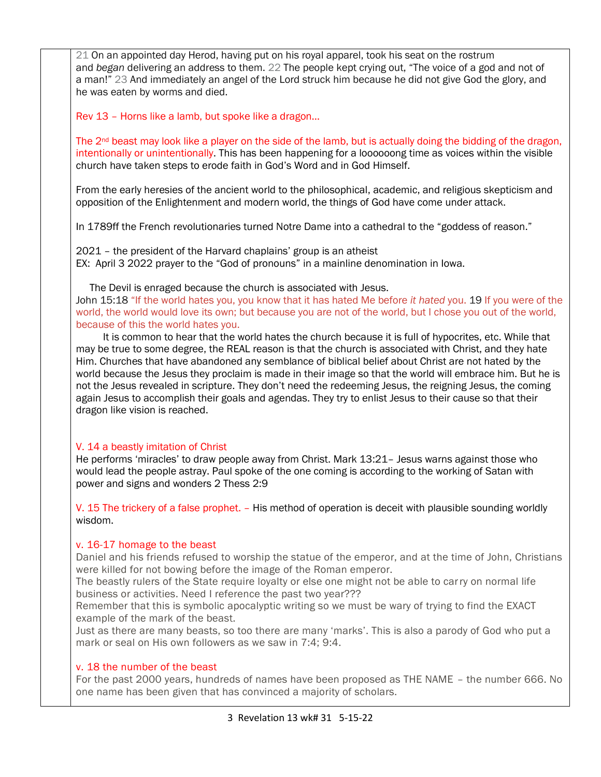21 On an appointed day Herod, having put on his royal apparel, took his seat on the rostrum and *began* delivering an address to them. 22 The people kept crying out, "The voice of a god and not of a man!" 23 And immediately an angel of the Lord struck him because he did not give God the glory, and he was eaten by worms and died.

Rev 13 – Horns like a lamb, but spoke like a dragon…

The  $2<sup>nd</sup>$  beast may look like a player on the side of the lamb, but is actually doing the bidding of the dragon, intentionally or unintentionally. This has been happening for a loooooong time as voices within the visible church have taken steps to erode faith in God's Word and in God Himself.

From the early heresies of the ancient world to the philosophical, academic, and religious skepticism and opposition of the Enlightenment and modern world, the things of God have come under attack.

In 1789ff the French revolutionaries turned Notre Dame into a cathedral to the "goddess of reason."

2021 – the president of the Harvard chaplains' group is an atheist EX: April 3 2022 prayer to the "God of pronouns" in a mainline denomination in Iowa.

The Devil is enraged because the church is associated with Jesus.

John 15:18 "If the world hates you, you know that it has hated Me before *it hated* you. 19 If you were of the world, the world would love its own; but because you are not of the world, but I chose you out of the world, because of this the world hates you.

 It is common to hear that the world hates the church because it is full of hypocrites, etc. While that may be true to some degree, the REAL reason is that the church is associated with Christ, and they hate Him. Churches that have abandoned any semblance of biblical belief about Christ are not hated by the world because the Jesus they proclaim is made in their image so that the world will embrace him. But he is not the Jesus revealed in scripture. They don't need the redeeming Jesus, the reigning Jesus, the coming again Jesus to accomplish their goals and agendas. They try to enlist Jesus to their cause so that their dragon like vision is reached.

### V. 14 a beastly imitation of Christ

He performs 'miracles' to draw people away from Christ. Mark 13:21– Jesus warns against those who would lead the people astray. Paul spoke of the one coming is according to the working of Satan with power and signs and wonders 2 Thess 2:9

V. 15 The trickery of a false prophet. – His method of operation is deceit with plausible sounding worldly wisdom.

### v. 16-17 homage to the beast

Daniel and his friends refused to worship the statue of the emperor, and at the time of John, Christians were killed for not bowing before the image of the Roman emperor.

The beastly rulers of the State require loyalty or else one might not be able to carry on normal life business or activities. Need I reference the past two year???

Remember that this is symbolic apocalyptic writing so we must be wary of trying to find the EXACT example of the mark of the beast.

Just as there are many beasts, so too there are many 'marks'. This is also a parody of God who put a mark or seal on His own followers as we saw in 7:4; 9:4.

### v. 18 the number of the beast

For the past 2000 years, hundreds of names have been proposed as THE NAME – the number 666. No one name has been given that has convinced a majority of scholars.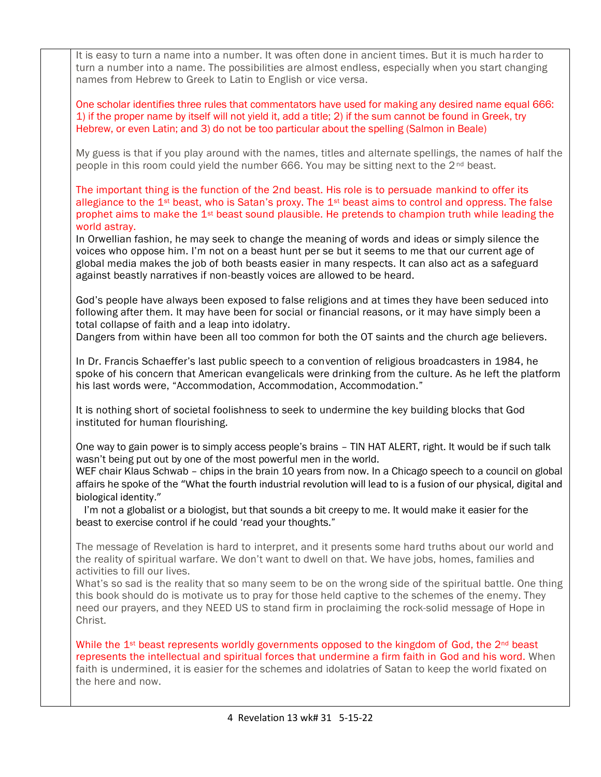It is easy to turn a name into a number. It was often done in ancient times. But it is much harder to turn a number into a name. The possibilities are almost endless, especially when you start changing names from Hebrew to Greek to Latin to English or vice versa. One scholar identifies three rules that commentators have used for making any desired name equal 666: 1) if the proper name by itself will not yield it, add a title; 2) if the sum cannot be found in Greek, try Hebrew, or even Latin; and 3) do not be too particular about the spelling (Salmon in Beale) My guess is that if you play around with the names, titles and alternate spellings, the names of half the people in this room could yield the number 666. You may be sitting next to the 2nd beast. The important thing is the function of the 2nd beast. His role is to persuade mankind to offer its allegiance to the  $1$ <sup>st</sup> beast, who is Satan's proxy. The  $1$ <sup>st</sup> beast aims to control and oppress. The false prophet aims to make the 1st beast sound plausible. He pretends to champion truth while leading the world astray. In Orwellian fashion, he may seek to change the meaning of words and ideas or simply silence the voices who oppose him. I'm not on a beast hunt per se but it seems to me that our current age of global media makes the job of both beasts easier in many respects. It can also act as a safeguard against beastly narratives if non-beastly voices are allowed to be heard. God's people have always been exposed to false religions and at times they have been seduced into following after them. It may have been for social or financial reasons, or it may have simply been a total collapse of faith and a leap into idolatry. Dangers from within have been all too common for both the OT saints and the church age believers. In Dr. Francis Schaeffer's last public speech to a convention of religious broadcasters in 1984, he spoke of his concern that American evangelicals were drinking from the culture. As he left the platform his last words were, "Accommodation, Accommodation, Accommodation." It is nothing short of societal foolishness to seek to undermine the key building blocks that God instituted for human flourishing. One way to gain power is to simply access people's brains – TIN HAT ALERT, right. It would be if such talk wasn't being put out by one of the most powerful men in the world. WEF chair Klaus Schwab – chips in the brain 10 years from now. In a Chicago speech to a council on global affairs he spoke of the "What the fourth industrial revolution will lead to is a fusion of our physical, digital and biological identity." I'm not a globalist or a biologist, but that sounds a bit creepy to me. It would make it easier for the beast to exercise control if he could 'read your thoughts." The message of Revelation is hard to interpret, and it presents some hard truths about our world and the reality of spiritual warfare. We don't want to dwell on that. We have jobs, homes, families and activities to fill our lives. What's so sad is the reality that so many seem to be on the wrong side of the spiritual battle. One thing this book should do is motivate us to pray for those held captive to the schemes of the enemy. They need our prayers, and they NEED US to stand firm in proclaiming the rock-solid message of Hope in Christ. While the  $1<sup>st</sup>$  beast represents worldly governments opposed to the kingdom of God, the  $2<sup>nd</sup>$  beast represents the intellectual and spiritual forces that undermine a firm faith in God and his word. When faith is undermined, it is easier for the schemes and idolatries of Satan to keep the world fixated on the here and now.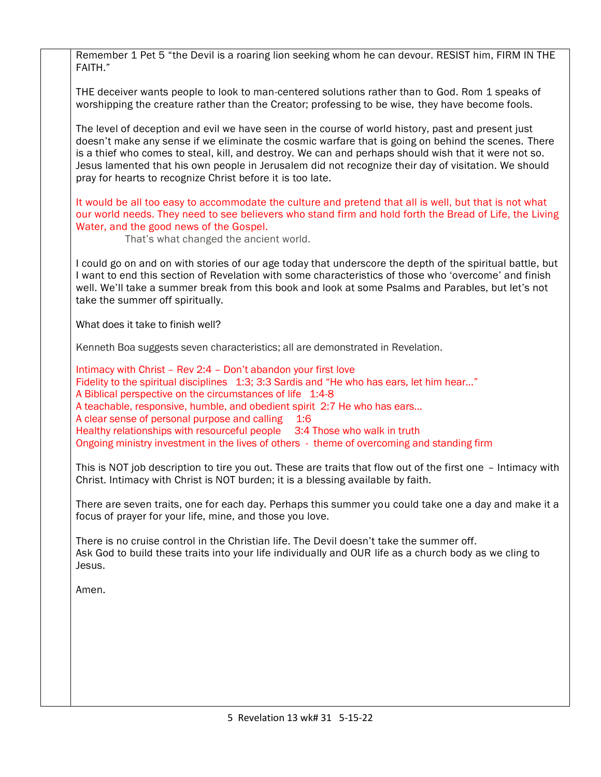Remember 1 Pet 5 "the Devil is a roaring lion seeking whom he can devour. RESIST him, FIRM IN THE FAITH."

THE deceiver wants people to look to man-centered solutions rather than to God. Rom 1 speaks of worshipping the creature rather than the Creator; professing to be wise, they have become fools.

The level of deception and evil we have seen in the course of world history, past and present just doesn't make any sense if we eliminate the cosmic warfare that is going on behind the scenes. There is a thief who comes to steal, kill, and destroy. We can and perhaps should wish that it were not so. Jesus lamented that his own people in Jerusalem did not recognize their day of visitation. We should pray for hearts to recognize Christ before it is too late.

It would be all too easy to accommodate the culture and pretend that all is well, but that is not what our world needs. They need to see believers who stand firm and hold forth the Bread of Life, the Living Water, and the good news of the Gospel.

That's what changed the ancient world.

I could go on and on with stories of our age today that underscore the depth of the spiritual battle, but I want to end this section of Revelation with some characteristics of those who 'overcome' and finish well. We'll take a summer break from this book and look at some Psalms and Parables, but let's not take the summer off spiritually.

What does it take to finish well?

Kenneth Boa suggests seven characteristics; all are demonstrated in Revelation.

Intimacy with Christ – Rev 2:4 – Don't abandon your first love Fidelity to the spiritual disciplines 1:3; 3:3 Sardis and "He who has ears, let him hear..." A Biblical perspective on the circumstances of life 1:4-8 A teachable, responsive, humble, and obedient spirit 2:7 He who has ears… A clear sense of personal purpose and calling 1:6 Healthy relationships with resourceful people 3:4 Those who walk in truth Ongoing ministry investment in the lives of others - theme of overcoming and standing firm

This is NOT job description to tire you out. These are traits that flow out of the first one – Intimacy with Christ. Intimacy with Christ is NOT burden; it is a blessing available by faith.

There are seven traits, one for each day. Perhaps this summer you could take one a day and make it a focus of prayer for your life, mine, and those you love.

There is no cruise control in the Christian life. The Devil doesn't take the summer off. Ask God to build these traits into your life individually and OUR life as a church body as we cling to Jesus.

Amen.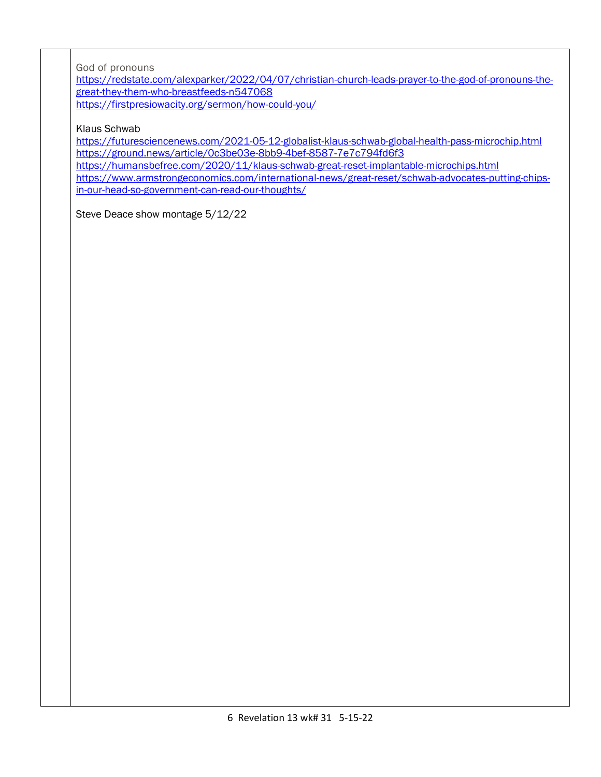God of pronouns

[https://redstate.com/alexparker/2022/04/07/christian-church-leads-prayer-to-the-god-of-pronouns-the](https://redstate.com/alexparker/2022/04/07/christian-church-leads-prayer-to-the-god-of-pronouns-the-great-they-them-who-breastfeeds-n547068)[great-they-them-who-breastfeeds-n547068](https://redstate.com/alexparker/2022/04/07/christian-church-leads-prayer-to-the-god-of-pronouns-the-great-they-them-who-breastfeeds-n547068) <https://firstpresiowacity.org/sermon/how-could-you/>

Klaus Schwab

<https://futuresciencenews.com/2021-05-12-globalist-klaus-schwab-global-health-pass-microchip.html> <https://ground.news/article/0c3be03e-8bb9-4bef-8587-7e7c794fd6f3>

<https://humansbefree.com/2020/11/klaus-schwab-great-reset-implantable-microchips.html>

[https://www.armstrongeconomics.com/international-news/great-reset/schwab-advocates-putting-chips](https://www.armstrongeconomics.com/international-news/great-reset/schwab-advocates-putting-chips-in-our-head-so-government-can-read-our-thoughts/)[in-our-head-so-government-can-read-our-thoughts/](https://www.armstrongeconomics.com/international-news/great-reset/schwab-advocates-putting-chips-in-our-head-so-government-can-read-our-thoughts/)

Steve Deace show montage 5/12/22